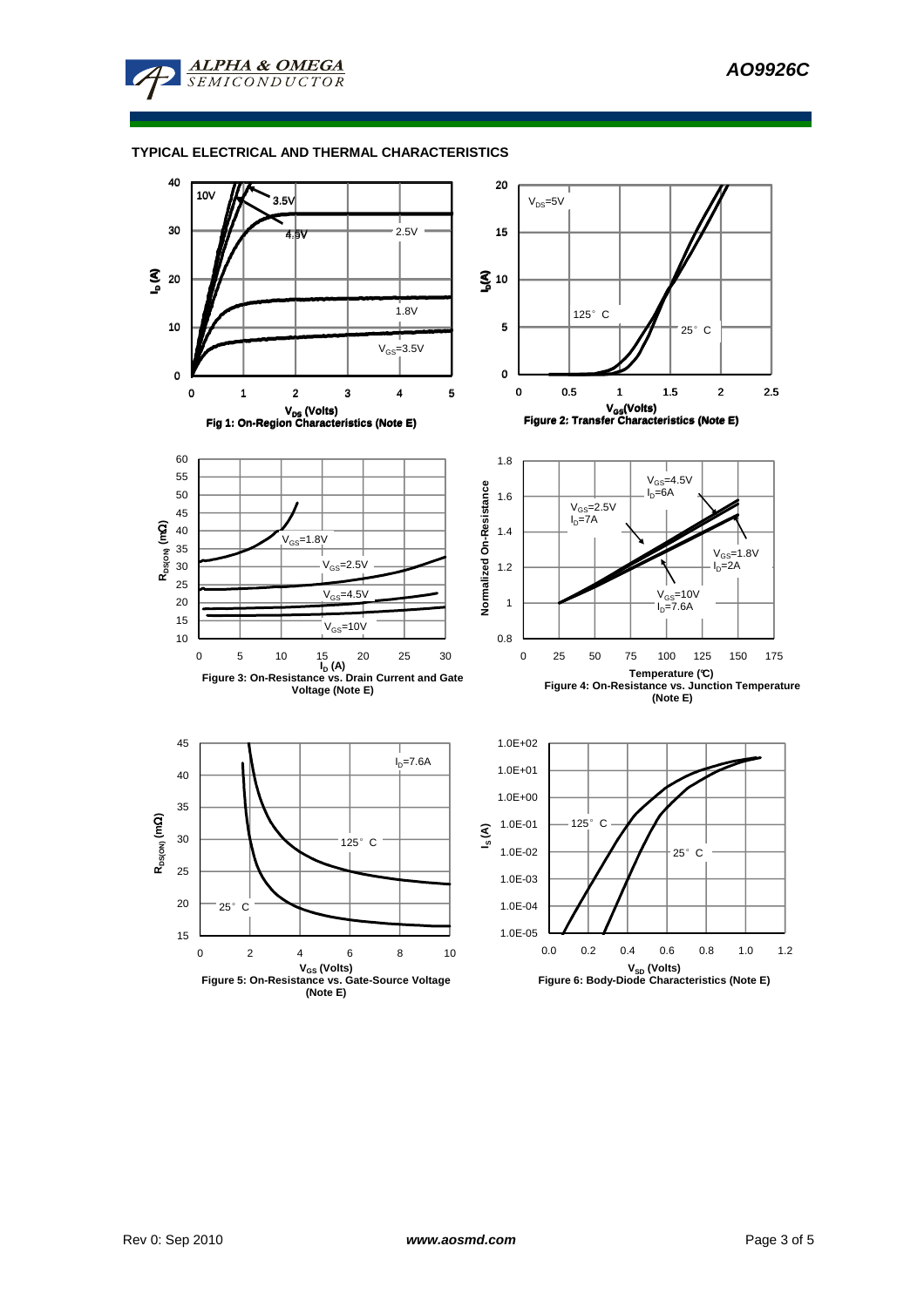

## **TYPICAL ELECTRICAL AND THERMAL CHARACTERISTICS**